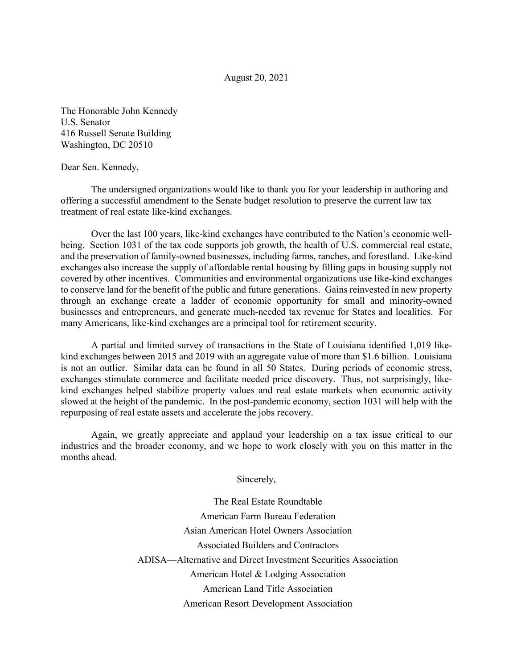## August 20, 2021

The Honorable John Kennedy U.S. Senator 416 Russell Senate Building Washington, DC 20510

## Dear Sen. Kennedy,

The undersigned organizations would like to thank you for your leadership in authoring and offering a successful amendment to the Senate budget resolution to preserve the current law tax treatment of real estate like-kind exchanges.

Over the last 100 years, like-kind exchanges have contributed to the Nation's economic wellbeing. Section 1031 of the tax code supports job growth, the health of U.S. commercial real estate, and the preservation of family-owned businesses, including farms, ranches, and forestland. Like-kind exchanges also increase the supply of affordable rental housing by filling gaps in housing supply not covered by other incentives. Communities and environmental organizations use like-kind exchanges to conserve land for the benefit of the public and future generations. Gains reinvested in new property through an exchange create a ladder of economic opportunity for small and minority-owned businesses and entrepreneurs, and generate much-needed tax revenue for States and localities. For many Americans, like-kind exchanges are a principal tool for retirement security.

A partial and limited survey of transactions in the State of Louisiana identified 1,019 likekind exchanges between 2015 and 2019 with an aggregate value of more than \$1.6 billion. Louisiana is not an outlier. Similar data can be found in all 50 States. During periods of economic stress, exchanges stimulate commerce and facilitate needed price discovery. Thus, not surprisingly, likekind exchanges helped stabilize property values and real estate markets when economic activity slowed at the height of the pandemic. In the post-pandemic economy, section 1031 will help with the repurposing of real estate assets and accelerate the jobs recovery.

Again, we greatly appreciate and applaud your leadership on a tax issue critical to our industries and the broader economy, and we hope to work closely with you on this matter in the months ahead.

Sincerely,

The Real Estate Roundtable American Farm Bureau Federation Asian American Hotel Owners Association Associated Builders and Contractors ADISA—Alternative and Direct Investment Securities Association American Hotel & Lodging Association American Land Title Association American Resort Development Association